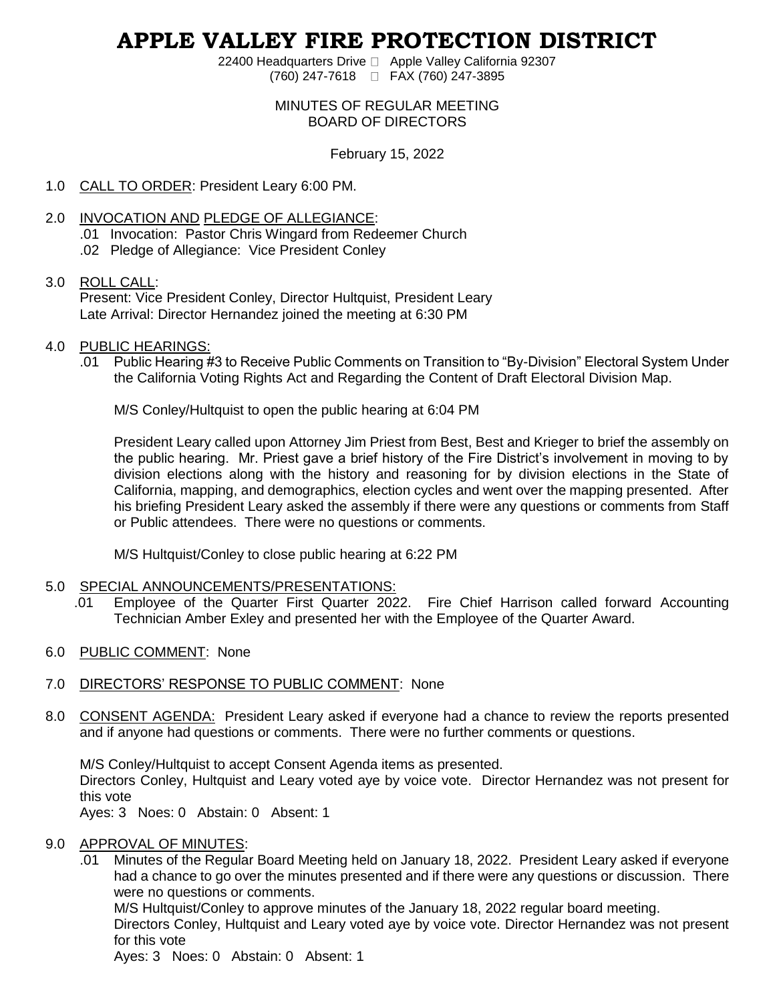# **APPLE VALLEY FIRE PROTECTION DISTRICT**

22400 Headquarters Drive □ Apple Valley California 92307 (760) 247-7618 FAX (760) 247-3895

# MINUTES OF REGULAR MEETING BOARD OF DIRECTORS

# February 15, 2022

- 1.0 CALL TO ORDER: President Leary 6:00 PM.
- 2.0 INVOCATION AND PLEDGE OF ALLEGIANCE: .01 Invocation: Pastor Chris Wingard from Redeemer Church .02 Pledge of Allegiance: Vice President Conley

# 3.0 ROLL CALL:

Present: Vice President Conley, Director Hultquist, President Leary Late Arrival: Director Hernandez joined the meeting at 6:30 PM

- 4.0 PUBLIC HEARINGS:
	- .01 Public Hearing #3 to Receive Public Comments on Transition to "By-Division" Electoral System Under the California Voting Rights Act and Regarding the Content of Draft Electoral Division Map.

M/S Conley/Hultquist to open the public hearing at 6:04 PM

President Leary called upon Attorney Jim Priest from Best, Best and Krieger to brief the assembly on the public hearing. Mr. Priest gave a brief history of the Fire District's involvement in moving to by division elections along with the history and reasoning for by division elections in the State of California, mapping, and demographics, election cycles and went over the mapping presented. After his briefing President Leary asked the assembly if there were any questions or comments from Staff or Public attendees. There were no questions or comments.

M/S Hultquist/Conley to close public hearing at 6:22 PM

# 5.0 SPECIAL ANNOUNCEMENTS/PRESENTATIONS:

- .01 Employee of the Quarter First Quarter 2022. Fire Chief Harrison called forward Accounting Technician Amber Exley and presented her with the Employee of the Quarter Award.
- 6.0 PUBLIC COMMENT: None

# 7.0 DIRECTORS' RESPONSE TO PUBLIC COMMENT: None

8.0 CONSENT AGENDA: President Leary asked if everyone had a chance to review the reports presented and if anyone had questions or comments. There were no further comments or questions.

M/S Conley/Hultquist to accept Consent Agenda items as presented.

Directors Conley, Hultquist and Leary voted aye by voice vote. Director Hernandez was not present for this vote

Ayes: 3 Noes: 0 Abstain: 0 Absent: 1

# 9.0 APPROVAL OF MINUTES:

.01 Minutes of the Regular Board Meeting held on January 18, 2022. President Leary asked if everyone had a chance to go over the minutes presented and if there were any questions or discussion. There were no questions or comments.

M/S Hultquist/Conley to approve minutes of the January 18, 2022 regular board meeting. Directors Conley, Hultquist and Leary voted aye by voice vote. Director Hernandez was not present

for this vote

Ayes: 3 Noes: 0 Abstain: 0 Absent: 1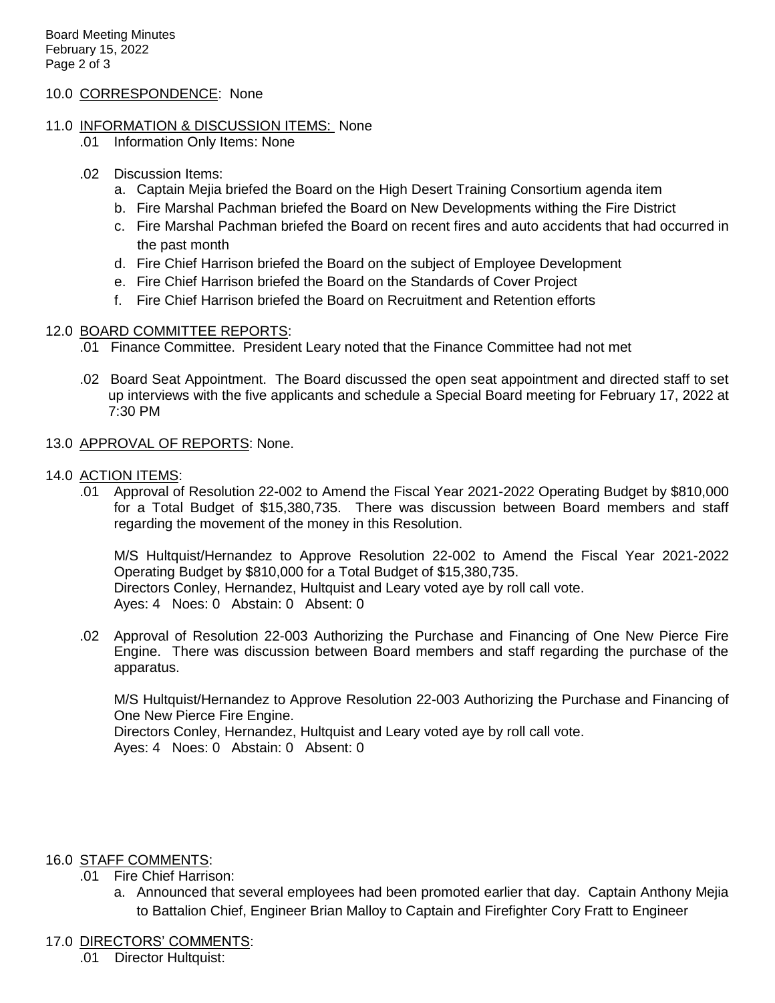# 10.0 CORRESPONDENCE: None

# 11.0 INFORMATION & DISCUSSION ITEMS: None

- .01 Information Only Items: None
- .02 Discussion Items:
	- a. Captain Mejia briefed the Board on the High Desert Training Consortium agenda item
	- b. Fire Marshal Pachman briefed the Board on New Developments withing the Fire District
	- c. Fire Marshal Pachman briefed the Board on recent fires and auto accidents that had occurred in the past month
	- d. Fire Chief Harrison briefed the Board on the subject of Employee Development
	- e. Fire Chief Harrison briefed the Board on the Standards of Cover Project
	- f. Fire Chief Harrison briefed the Board on Recruitment and Retention efforts

# 12.0 BOARD COMMITTEE REPORTS:

- .01 Finance Committee. President Leary noted that the Finance Committee had not met
- .02 Board Seat Appointment. The Board discussed the open seat appointment and directed staff to set up interviews with the five applicants and schedule a Special Board meeting for February 17, 2022 at 7:30 PM
- 13.0 APPROVAL OF REPORTS: None.

# 14.0 ACTION ITEMS:

.01 Approval of Resolution 22-002 to Amend the Fiscal Year 2021-2022 Operating Budget by \$810,000 for a Total Budget of \$15,380,735. There was discussion between Board members and staff regarding the movement of the money in this Resolution.

M/S Hultquist/Hernandez to Approve Resolution 22-002 to Amend the Fiscal Year 2021-2022 Operating Budget by \$810,000 for a Total Budget of \$15,380,735. Directors Conley, Hernandez, Hultquist and Leary voted aye by roll call vote. Ayes: 4 Noes: 0 Abstain: 0 Absent: 0

.02 Approval of Resolution 22-003 Authorizing the Purchase and Financing of One New Pierce Fire Engine. There was discussion between Board members and staff regarding the purchase of the apparatus.

M/S Hultquist/Hernandez to Approve Resolution 22-003 Authorizing the Purchase and Financing of One New Pierce Fire Engine.

Directors Conley, Hernandez, Hultquist and Leary voted aye by roll call vote. Ayes: 4 Noes: 0 Abstain: 0 Absent: 0

# 16.0 STAFF COMMENTS:

- .01 Fire Chief Harrison:
	- a. Announced that several employees had been promoted earlier that day. Captain Anthony Mejia to Battalion Chief, Engineer Brian Malloy to Captain and Firefighter Cory Fratt to Engineer

# 17.0 DIRECTORS' COMMENTS:

.01 Director Hultquist: